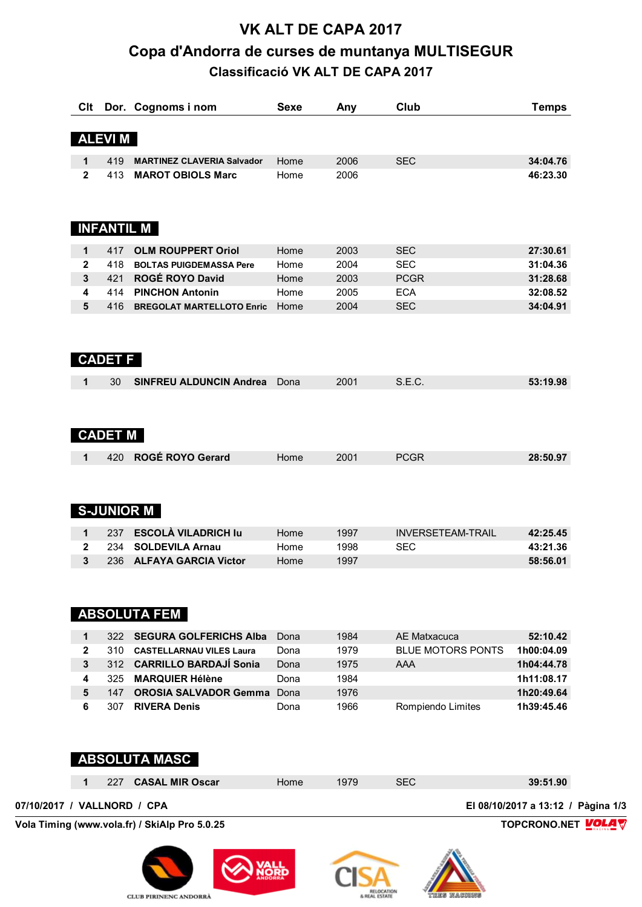# **VK ALT DE CAPA 2017 Copa d'Andorra de curses de muntanya MULTISEGUR Classificació VK ALT DE CAPA 2017**

| Clt          |                       | Dor. Cognoms i nom                                 | <b>Sexe</b> | Any  | Club                     | <b>Temps</b> |
|--------------|-----------------------|----------------------------------------------------|-------------|------|--------------------------|--------------|
|              | <b>ALEVIM</b>         |                                                    |             |      |                          |              |
| 1            | 419                   | <b>MARTINEZ CLAVERIA Salvador</b>                  | Home        | 2006 | <b>SEC</b>               | 34:04.76     |
| $\mathbf{2}$ | 413                   | <b>MAROT OBIOLS Marc</b>                           | Home        | 2006 |                          | 46:23.30     |
|              |                       |                                                    |             |      |                          |              |
|              | <b>INFANTIL M</b>     |                                                    |             |      |                          |              |
| 1            | 417                   | <b>OLM ROUPPERT Oriol</b>                          | Home        | 2003 | <b>SEC</b>               | 27:30.61     |
| $\mathbf{2}$ | 418                   | <b>BOLTAS PUIGDEMASSA Pere</b>                     | Home        | 2004 | <b>SEC</b>               | 31:04.36     |
| 3            | 421                   | ROGÉ ROYO David                                    | Home        | 2003 | <b>PCGR</b>              | 31:28.68     |
| 4            | 414                   | <b>PINCHON Antonin</b>                             | Home        | 2005 | <b>ECA</b>               | 32:08.52     |
| 5            | 416                   | <b>BREGOLAT MARTELLOTO Enric</b>                   | Home        | 2004 | <b>SEC</b>               | 34:04.91     |
|              | <b>CADET F</b>        |                                                    |             |      |                          |              |
| 1            | 30                    | <b>SINFREU ALDUNCIN Andrea</b>                     | Dona        | 2001 | S.E.C.                   | 53:19.98     |
| 1            | <b>CADET M</b><br>420 | ROGÉ ROYO Gerard                                   | Home        | 2001 | <b>PCGR</b>              | 28:50.97     |
|              |                       | <b>S-JUNIOR M</b>                                  |             |      |                          |              |
| 1            | 237                   | <b>ESCOLÀ VILADRICH lu</b>                         | Home        | 1997 | <b>INVERSETEAM-TRAIL</b> | 42:25.45     |
| 2            | 234                   | <b>SOLDEVILA Arnau</b>                             | Home        | 1998 | <b>SEC</b>               | 43:21.36     |
| 3            | 236                   | <b>ALFAYA GARCIA Victor</b><br><b>ABSOLUTA FEM</b> | Home        | 1997 |                          | 58:56.01     |
| 1            | 322                   | <b>SEGURA GOLFERICHS Alba</b>                      | Dona        | 1984 | AE Matxacuca             | 52:10.42     |
| $\mathbf{2}$ | 310                   | <b>CASTELLARNAU VILES Laura</b>                    | Dona        | 1979 | <b>BLUE MOTORS PONTS</b> | 1h00:04.09   |
| 3            | 312                   | <b>CARRILLO BARDAJÍ Sonia</b>                      | Dona        | 1975 | <b>AAA</b>               | 1h04:44.78   |
| 4            | 325                   | <b>MARQUIER Hélène</b>                             | Dona        | 1984 |                          | 1h11:08.17   |
| 5            | 147                   | <b>OROSIA SALVADOR Gemma</b>                       | Dona        | 1976 |                          | 1h20:49.64   |
| 6            | 307                   | <b>RIVERA Denis</b>                                | Dona        | 1966 | Rompiendo Limites        | 1h39:45.46   |
|              |                       | <b>ABSOLUTA MASC</b>                               |             |      |                          |              |

|                             |  | 227 CASAL MIR Oscar | Home | 1979 | <b>SEC</b> | 39:51.90                           |
|-----------------------------|--|---------------------|------|------|------------|------------------------------------|
| 07/10/2017 / VALLNORD / CPA |  |                     |      |      |            | El 08/10/2017 a 13:12 / Pàgina 1/3 |

**Vola Timing (www.vola.fr) / SkiAlp Pro 5.0.25 TOPCRONO.NET** 



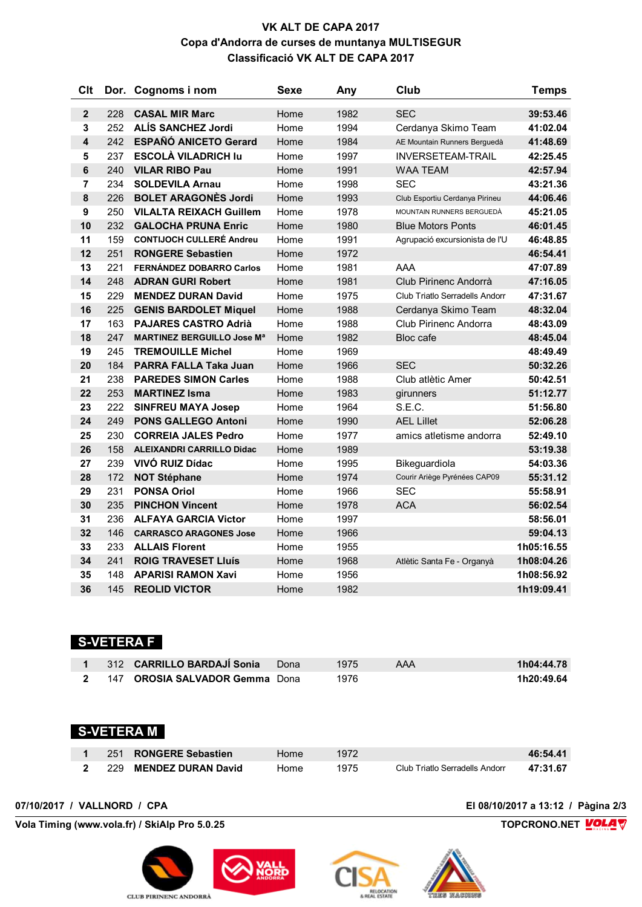#### **VK ALT DE CAPA 2017 Copa d'Andorra de curses de muntanya MULTISEGUR Classificació VK ALT DE CAPA 2017**

| <b>Clt</b>              |     | Dor. Cognoms i nom                | Sexe | Any  | Club                                  | <b>Temps</b> |
|-------------------------|-----|-----------------------------------|------|------|---------------------------------------|--------------|
| $\overline{2}$          | 228 | <b>CASAL MIR Marc</b>             | Home | 1982 | <b>SEC</b>                            | 39:53.46     |
| 3                       | 252 | <b>ALÍS SANCHEZ Jordi</b>         | Home | 1994 | Cerdanya Skimo Team                   | 41:02.04     |
| $\overline{\mathbf{4}}$ | 242 | <b>ESPAÑÓ ANICETO Gerard</b>      | Home | 1984 | AE Mountain Runners Berguedà          | 41:48.69     |
| 5                       | 237 | <b>ESCOLÀ VILADRICH Iu</b>        | Home | 1997 | <b>INVERSETEAM-TRAIL</b>              | 42:25.45     |
| 6                       | 240 | <b>VILAR RIBO Pau</b>             | Home | 1991 | <b>WAA TEAM</b>                       | 42:57.94     |
| 7                       | 234 | <b>SOLDEVILA Arnau</b>            | Home | 1998 | <b>SEC</b>                            | 43:21.36     |
| 8                       | 226 | <b>BOLET ARAGONÈS Jordi</b>       | Home | 1993 | Club Esportiu Cerdanya Pirineu        | 44:06.46     |
| 9                       | 250 | <b>VILALTA REIXACH Guillem</b>    | Home | 1978 | MOUNTAIN RUNNERS BERGUEDÀ             | 45:21.05     |
| 10                      | 232 | <b>GALOCHA PRUNA Enric</b>        | Home | 1980 | <b>Blue Motors Ponts</b>              | 46:01.45     |
| 11                      | 159 | <b>CONTIJOCH CULLERÉ Andreu</b>   | Home | 1991 | Agrupació excursionista de l'U        | 46:48.85     |
| 12                      | 251 | <b>RONGERE Sebastien</b>          | Home | 1972 |                                       | 46:54.41     |
| 13                      | 221 | <b>FERNÁNDEZ DOBARRO Carlos</b>   | Home | 1981 | AAA                                   | 47:07.89     |
| 14                      | 248 | <b>ADRAN GURI Robert</b>          | Home | 1981 | Club Pirinenc Andorrà                 | 47:16.05     |
| 15                      | 229 | <b>MENDEZ DURAN David</b>         | Home | 1975 | <b>Club Triatlo Serradells Andorr</b> | 47:31.67     |
| 16                      | 225 | <b>GENIS BARDOLET Miquel</b>      | Home | 1988 | Cerdanya Skimo Team                   | 48:32.04     |
| 17                      | 163 | <b>PAJARES CASTRO Adrià</b>       | Home | 1988 | Club Pirinenc Andorra                 | 48:43.09     |
| 18                      | 247 | <b>MARTINEZ BERGUILLO Jose Ma</b> | Home | 1982 | Bloc cafe                             | 48:45.04     |
| 19                      | 245 | <b>TREMOUILLE Michel</b>          | Home | 1969 |                                       | 48:49.49     |
| 20                      | 184 | PARRA FALLA Taka Juan             | Home | 1966 | <b>SEC</b>                            | 50:32.26     |
| 21                      | 238 | <b>PAREDES SIMON Carles</b>       | Home | 1988 | Club atlètic Amer                     | 50:42.51     |
| 22                      | 253 | <b>MARTINEZ Isma</b>              | Home | 1983 | girunners                             | 51:12.77     |
| 23                      | 222 | <b>SINFREU MAYA Josep</b>         | Home | 1964 | S.E.C.                                | 51:56.80     |
| 24                      | 249 | <b>PONS GALLEGO Antoni</b>        | Home | 1990 | <b>AEL Lillet</b>                     | 52:06.28     |
| 25                      | 230 | <b>CORREIA JALES Pedro</b>        | Home | 1977 | amics atletisme andorra               | 52:49.10     |
| 26                      | 158 | <b>ALEIXANDRI CARRILLO Didac</b>  | Home | 1989 |                                       | 53:19.38     |
| 27                      | 239 | VIVÓ RUIZ Dídac                   | Home | 1995 | Bikeguardiola                         | 54:03.36     |
| 28                      | 172 | <b>NOT Stéphane</b>               | Home | 1974 | Courir Ariège Pyrénées CAP09          | 55:31.12     |
| 29                      | 231 | <b>PONSA Oriol</b>                | Home | 1966 | <b>SEC</b>                            | 55:58.91     |
| 30                      | 235 | <b>PINCHON Vincent</b>            | Home | 1978 | <b>ACA</b>                            | 56:02.54     |
| 31                      | 236 | <b>ALFAYA GARCIA Victor</b>       | Home | 1997 |                                       | 58:56.01     |
| 32                      | 146 | <b>CARRASCO ARAGONES Jose</b>     | Home | 1966 |                                       | 59:04.13     |
| 33                      | 233 | <b>ALLAIS Florent</b>             | Home | 1955 |                                       | 1h05:16.55   |
| 34                      | 241 | <b>ROIG TRAVESET LIUS</b>         | Home | 1968 | Atlètic Santa Fe - Organyà            | 1h08:04.26   |
| 35                      | 148 | <b>APARISI RAMON Xavi</b>         | Home | 1956 |                                       | 1h08:56.92   |
| 36                      | 145 | <b>REOLID VICTOR</b>              | Home | 1982 |                                       | 1h19:09.41   |

#### **S-VETERA F**

|  | 1 312 CARRILLO BARDAJÍ Sonia Dona | 1975 | AAA | 1h04:44.78 |
|--|-----------------------------------|------|-----|------------|
|  | 2 147 OROSIA SALVADOR Gemma Dona  | 1976 |     | 1h20:49.64 |

## **S-VETERA M**

|  | 251 RONGERE Sebastien  | Home | 1972 |                                | 46:54.41 |
|--|------------------------|------|------|--------------------------------|----------|
|  | 229 MENDEZ DURAN David | Home | 1975 | Club Triatlo Serradells Andorr | 47:31.67 |

**Vola Timing (www.vola.fr) / SkiAlp Pro 5.0.25 TOPCRONO.NET** 





**07/10/2017 / VALLNORD / CPA El 08/10/2017 a 13:12 / Pàgina 2/3**